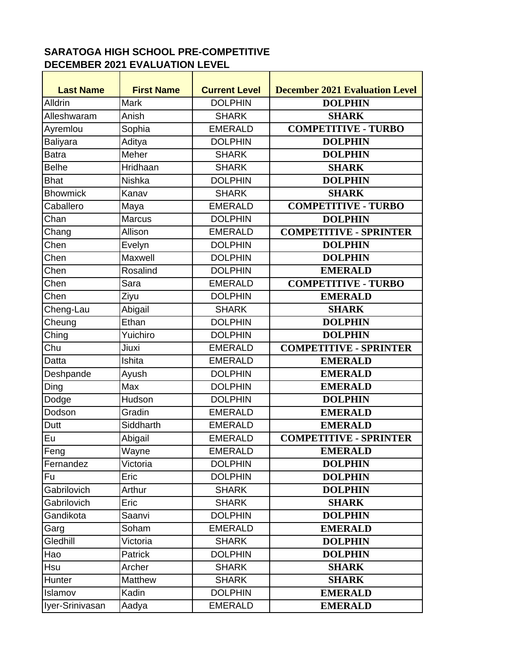| <b>Last Name</b>          | <b>First Name</b> | <b>Current Level</b> | <b>December 2021 Evaluation Level</b> |
|---------------------------|-------------------|----------------------|---------------------------------------|
| Alldrin                   | <b>Mark</b>       | <b>DOLPHIN</b>       | <b>DOLPHIN</b>                        |
| Alleshwaram               | Anish             | <b>SHARK</b>         | <b>SHARK</b>                          |
| Ayremlou                  | Sophia            | <b>EMERALD</b>       | <b>COMPETITIVE - TURBO</b>            |
| <b>Baliyara</b>           | Aditya            | <b>DOLPHIN</b>       | <b>DOLPHIN</b>                        |
| <b>Batra</b>              | Meher             | <b>SHARK</b>         | <b>DOLPHIN</b>                        |
| <b>Belhe</b>              | Hridhaan          | <b>SHARK</b>         | <b>SHARK</b>                          |
| <b>Bhat</b>               | Nishka            | <b>DOLPHIN</b>       | <b>DOLPHIN</b>                        |
| <b>Bhowmick</b>           | Kanav             | <b>SHARK</b>         | <b>SHARK</b>                          |
| Caballero                 | Maya              | <b>EMERALD</b>       | <b>COMPETITIVE - TURBO</b>            |
| Chan                      | <b>Marcus</b>     | <b>DOLPHIN</b>       | <b>DOLPHIN</b>                        |
| Chang                     | Allison           | <b>EMERALD</b>       | <b>COMPETITIVE - SPRINTER</b>         |
| Chen                      | Evelyn            | <b>DOLPHIN</b>       | <b>DOLPHIN</b>                        |
| Chen                      | Maxwell           | <b>DOLPHIN</b>       | <b>DOLPHIN</b>                        |
| Chen                      | Rosalind          | <b>DOLPHIN</b>       | <b>EMERALD</b>                        |
| Chen                      | Sara              | <b>EMERALD</b>       | <b>COMPETITIVE - TURBO</b>            |
| Chen                      | Ziyu              | <b>DOLPHIN</b>       | <b>EMERALD</b>                        |
| Cheng-Lau                 | Abigail           | <b>SHARK</b>         | <b>SHARK</b>                          |
| Cheung                    | Ethan             | <b>DOLPHIN</b>       | <b>DOLPHIN</b>                        |
| $\overline{\text{Ching}}$ | Yuichiro          | <b>DOLPHIN</b>       | <b>DOLPHIN</b>                        |
| Chu                       | Jiuxi             | <b>EMERALD</b>       | <b>COMPETITIVE - SPRINTER</b>         |
| Datta                     | <b>Ishita</b>     | <b>EMERALD</b>       | <b>EMERALD</b>                        |
| Deshpande                 | Ayush             | <b>DOLPHIN</b>       | <b>EMERALD</b>                        |
| Ding                      | Max               | <b>DOLPHIN</b>       | <b>EMERALD</b>                        |
| Dodge                     | Hudson            | <b>DOLPHIN</b>       | <b>DOLPHIN</b>                        |
| Dodson                    | Gradin            | <b>EMERALD</b>       | <b>EMERALD</b>                        |
| Dutt                      | Siddharth         | <b>EMERALD</b>       | <b>EMERALD</b>                        |
| Eu                        | Abigail           | <b>EMERALD</b>       | <b>COMPETITIVE - SPRINTER</b>         |
| Feng                      | Wayne             | <b>EMERALD</b>       | <b>EMERALD</b>                        |
| Fernandez                 | Victoria          | <b>DOLPHIN</b>       | <b>DOLPHIN</b>                        |
| Fu                        | Eric              | <b>DOLPHIN</b>       | <b>DOLPHIN</b>                        |
| Gabrilovich               | Arthur            | <b>SHARK</b>         | <b>DOLPHIN</b>                        |
| Gabrilovich               | Eric              | <b>SHARK</b>         | <b>SHARK</b>                          |
| Gandikota                 | Saanvi            | <b>DOLPHIN</b>       | <b>DOLPHIN</b>                        |
| Garg                      | Soham             | <b>EMERALD</b>       | <b>EMERALD</b>                        |
| Gledhill                  | Victoria          | <b>SHARK</b>         | <b>DOLPHIN</b>                        |
| Hao                       | Patrick           | <b>DOLPHIN</b>       | <b>DOLPHIN</b>                        |
| Hsu                       | Archer            | <b>SHARK</b>         | <b>SHARK</b>                          |
| Hunter                    | Matthew           | <b>SHARK</b>         | <b>SHARK</b>                          |
| Islamov                   | Kadin             | <b>DOLPHIN</b>       | <b>EMERALD</b>                        |
| Iyer-Srinivasan           | Aadya             | <b>EMERALD</b>       | <b>EMERALD</b>                        |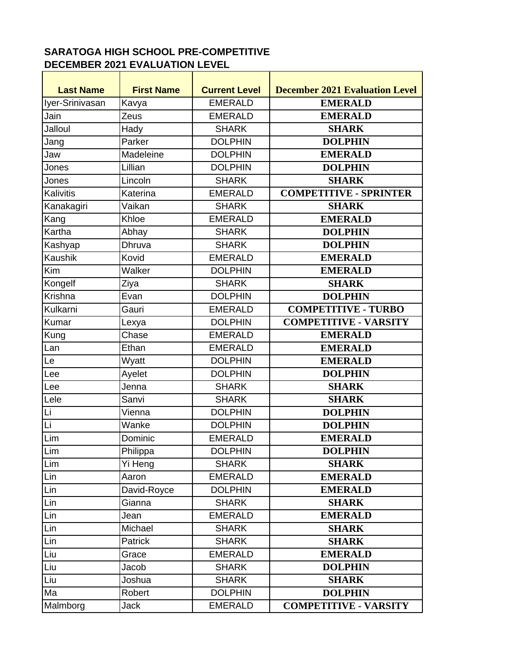| <b>Last Name</b> | <b>First Name</b> | <b>Current Level</b> | <b>December 2021 Evaluation Level</b> |
|------------------|-------------------|----------------------|---------------------------------------|
| Iyer-Srinivasan  | Kavya             | <b>EMERALD</b>       | <b>EMERALD</b>                        |
| Jain             | Zeus              | <b>EMERALD</b>       | <b>EMERALD</b>                        |
| Jalloul          | Hady              | <b>SHARK</b>         | <b>SHARK</b>                          |
| Jang             | Parker            | <b>DOLPHIN</b>       | <b>DOLPHIN</b>                        |
| Jaw              | Madeleine         | <b>DOLPHIN</b>       | <b>EMERALD</b>                        |
| Jones            | Lillian           | <b>DOLPHIN</b>       | <b>DOLPHIN</b>                        |
| Jones            | Lincoln           | <b>SHARK</b>         | <b>SHARK</b>                          |
| Kalivitis        | Katerina          | <b>EMERALD</b>       | <b>COMPETITIVE - SPRINTER</b>         |
| Kanakagiri       | Vaikan            | <b>SHARK</b>         | <b>SHARK</b>                          |
| Kang             | Khloe             | <b>EMERALD</b>       | <b>EMERALD</b>                        |
| Kartha           | Abhay             | <b>SHARK</b>         | <b>DOLPHIN</b>                        |
| Kashyap          | Dhruva            | <b>SHARK</b>         | <b>DOLPHIN</b>                        |
| <b>Kaushik</b>   | Kovid             | <b>EMERALD</b>       | <b>EMERALD</b>                        |
| Kim              | Walker            | <b>DOLPHIN</b>       | <b>EMERALD</b>                        |
| Kongelf          | Ziya              | <b>SHARK</b>         | <b>SHARK</b>                          |
| <b>Krishna</b>   | Evan              | <b>DOLPHIN</b>       | <b>DOLPHIN</b>                        |
| Kulkarni         | Gauri             | <b>EMERALD</b>       | <b>COMPETITIVE - TURBO</b>            |
| Kumar            | Lexya             | <b>DOLPHIN</b>       | <b>COMPETITIVE - VARSITY</b>          |
| Kung             | Chase             | <b>EMERALD</b>       | <b>EMERALD</b>                        |
| Lan              | Ethan             | <b>EMERALD</b>       | <b>EMERALD</b>                        |
| Le               | Wyatt             | <b>DOLPHIN</b>       | <b>EMERALD</b>                        |
| Lee              | Ayelet            | <b>DOLPHIN</b>       | <b>DOLPHIN</b>                        |
| Lee              | Jenna             | <b>SHARK</b>         | <b>SHARK</b>                          |
| Lele             | Sanvi             | <b>SHARK</b>         | <b>SHARK</b>                          |
| Li               | Vienna            | <b>DOLPHIN</b>       | <b>DOLPHIN</b>                        |
| Li               | Wanke             | <b>DOLPHIN</b>       | <b>DOLPHIN</b>                        |
| Lim              | Dominic           | <b>EMERALD</b>       | <b>EMERALD</b>                        |
| Lim              | Philippa          | <b>DOLPHIN</b>       | <b>DOLPHIN</b>                        |
| Lim              | Yi Heng           | <b>SHARK</b>         | <b>SHARK</b>                          |
| Lin              | Aaron             | <b>EMERALD</b>       | <b>EMERALD</b>                        |
| Lin              | David-Royce       | <b>DOLPHIN</b>       | <b>EMERALD</b>                        |
| Lin              | Gianna            | <b>SHARK</b>         | <b>SHARK</b>                          |
| Lin              | Jean              | <b>EMERALD</b>       | <b>EMERALD</b>                        |
| Lin              | Michael           | <b>SHARK</b>         | <b>SHARK</b>                          |
| Lin              | Patrick           | <b>SHARK</b>         | <b>SHARK</b>                          |
| Liu              | Grace             | <b>EMERALD</b>       | <b>EMERALD</b>                        |
| Liu              | Jacob             | <b>SHARK</b>         | <b>DOLPHIN</b>                        |
| Liu              | Joshua            | <b>SHARK</b>         | <b>SHARK</b>                          |
| Ma               | Robert            | <b>DOLPHIN</b>       | <b>DOLPHIN</b>                        |
| Malmborg         | <b>Jack</b>       | <b>EMERALD</b>       | <b>COMPETITIVE - VARSITY</b>          |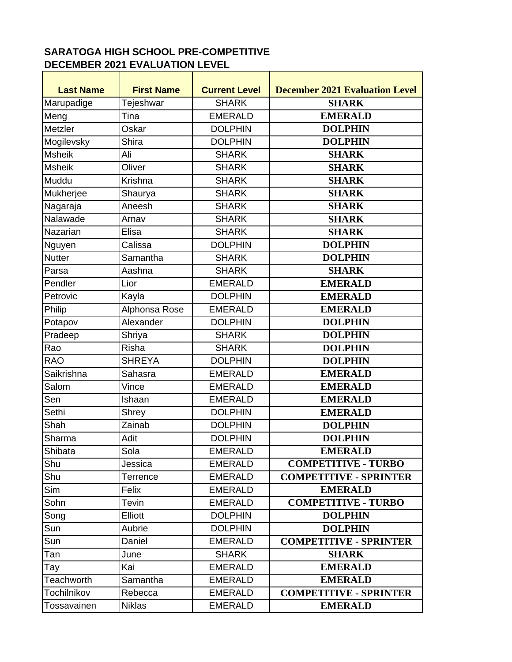| <b>Last Name</b> | <b>First Name</b>    | <b>Current Level</b> | <b>December 2021 Evaluation Level</b> |
|------------------|----------------------|----------------------|---------------------------------------|
| Marupadige       | Tejeshwar            | <b>SHARK</b>         | <b>SHARK</b>                          |
| Meng             | Tina                 | <b>EMERALD</b>       | <b>EMERALD</b>                        |
| Metzler          | Oskar                | <b>DOLPHIN</b>       | <b>DOLPHIN</b>                        |
| Mogilevsky       | Shira                | <b>DOLPHIN</b>       | <b>DOLPHIN</b>                        |
| <b>Msheik</b>    | Ali                  | <b>SHARK</b>         | <b>SHARK</b>                          |
| <b>Msheik</b>    | Oliver               | <b>SHARK</b>         | <b>SHARK</b>                          |
| Muddu            | Krishna              | <b>SHARK</b>         | <b>SHARK</b>                          |
| Mukherjee        | Shaurya              | <b>SHARK</b>         | <b>SHARK</b>                          |
| Nagaraja         | Aneesh               | <b>SHARK</b>         | <b>SHARK</b>                          |
| Nalawade         | Arnav                | <b>SHARK</b>         | <b>SHARK</b>                          |
| Nazarian         | Elisa                | <b>SHARK</b>         | <b>SHARK</b>                          |
| Nguyen           | Calissa              | <b>DOLPHIN</b>       | <b>DOLPHIN</b>                        |
| <b>Nutter</b>    | Samantha             | <b>SHARK</b>         | <b>DOLPHIN</b>                        |
| Parsa            | Aashna               | <b>SHARK</b>         | <b>SHARK</b>                          |
| Pendler          | Lior                 | <b>EMERALD</b>       | <b>EMERALD</b>                        |
| Petrovic         | Kayla                | <b>DOLPHIN</b>       | <b>EMERALD</b>                        |
| Philip           | Alphonsa Rose        | <b>EMERALD</b>       | <b>EMERALD</b>                        |
| Potapov          | Alexander            | <b>DOLPHIN</b>       | <b>DOLPHIN</b>                        |
| Pradeep          | Shriya               | <b>SHARK</b>         | <b>DOLPHIN</b>                        |
| Rao              | Risha                | <b>SHARK</b>         | <b>DOLPHIN</b>                        |
| <b>RAO</b>       | <b>SHREYA</b>        | <b>DOLPHIN</b>       | <b>DOLPHIN</b>                        |
| Saikrishna       | Sahasra              | <b>EMERALD</b>       | <b>EMERALD</b>                        |
| Salom            | Vince                | <b>EMERALD</b>       | <b>EMERALD</b>                        |
| Sen              | Ishaan               | <b>EMERALD</b>       | <b>EMERALD</b>                        |
| Sethi            | Shrey                | <b>DOLPHIN</b>       | <b>EMERALD</b>                        |
| Shah             | $\overline{Z}$ ainab | <b>DOLPHIN</b>       | <b>DOLPHIN</b>                        |
| Sharma           | Adit                 | <b>DOLPHIN</b>       | <b>DOLPHIN</b>                        |
| Shibata          | Sola                 | <b>EMERALD</b>       | <b>EMERALD</b>                        |
| Shu              | Jessica              | <b>EMERALD</b>       | <b>COMPETITIVE - TURBO</b>            |
| Shu              | Terrence             | <b>EMERALD</b>       | <b>COMPETITIVE - SPRINTER</b>         |
| Sim              | Felix                | <b>EMERALD</b>       | <b>EMERALD</b>                        |
| Sohn             | Tevin                | <b>EMERALD</b>       | <b>COMPETITIVE - TURBO</b>            |
| Song             | Elliott              | <b>DOLPHIN</b>       | <b>DOLPHIN</b>                        |
| Sun              | Aubrie               | <b>DOLPHIN</b>       | <b>DOLPHIN</b>                        |
| Sun              | Daniel               | <b>EMERALD</b>       | <b>COMPETITIVE - SPRINTER</b>         |
| Tan              | June                 | <b>SHARK</b>         | <b>SHARK</b>                          |
| Tay              | Kai                  | <b>EMERALD</b>       | <b>EMERALD</b>                        |
| Teachworth       | Samantha             | <b>EMERALD</b>       | <b>EMERALD</b>                        |
| Tochilnikov      | Rebecca              | <b>EMERALD</b>       | <b>COMPETITIVE - SPRINTER</b>         |
| Tossavainen      | <b>Niklas</b>        | <b>EMERALD</b>       | <b>EMERALD</b>                        |